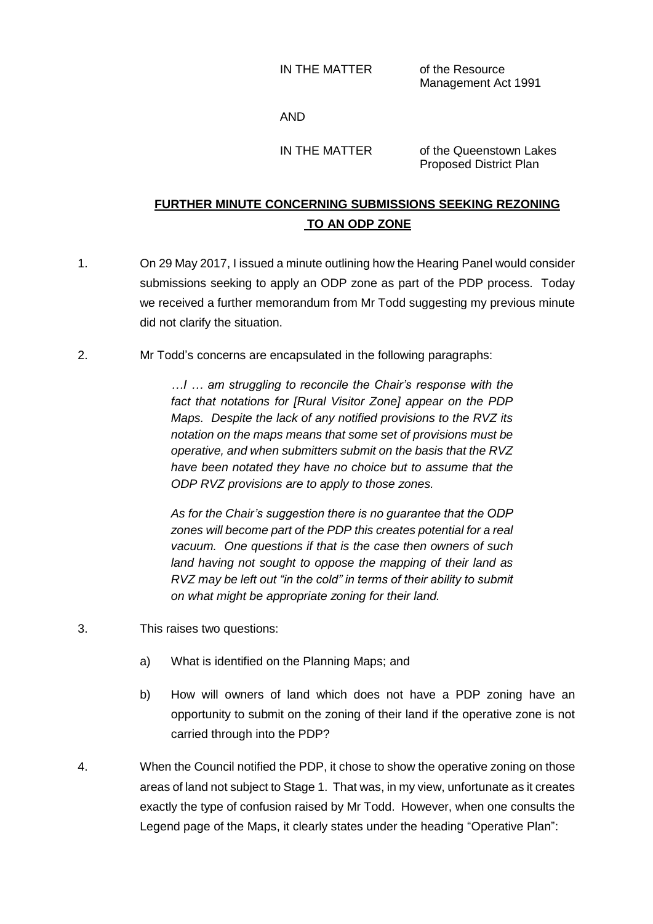Management Act 1991

## AND

IN THE MATTER of the Queenstown Lakes Proposed District Plan

## **FURTHER MINUTE CONCERNING SUBMISSIONS SEEKING REZONING TO AN ODP ZONE**

- 1. On 29 May 2017, I issued a minute outlining how the Hearing Panel would consider submissions seeking to apply an ODP zone as part of the PDP process. Today we received a further memorandum from Mr Todd suggesting my previous minute did not clarify the situation.
- 2. Mr Todd's concerns are encapsulated in the following paragraphs:

*…I … am struggling to reconcile the Chair's response with the fact that notations for [Rural Visitor Zone] appear on the PDP Maps. Despite the lack of any notified provisions to the RVZ its notation on the maps means that some set of provisions must be operative, and when submitters submit on the basis that the RVZ have been notated they have no choice but to assume that the ODP RVZ provisions are to apply to those zones.*

*As for the Chair's suggestion there is no guarantee that the ODP zones will become part of the PDP this creates potential for a real vacuum. One questions if that is the case then owners of such land having not sought to oppose the mapping of their land as RVZ may be left out "in the cold" in terms of their ability to submit on what might be appropriate zoning for their land.*

- 3. This raises two questions:
	- a) What is identified on the Planning Maps; and
	- b) How will owners of land which does not have a PDP zoning have an opportunity to submit on the zoning of their land if the operative zone is not carried through into the PDP?
- 4. When the Council notified the PDP, it chose to show the operative zoning on those areas of land not subject to Stage 1. That was, in my view, unfortunate as it creates exactly the type of confusion raised by Mr Todd. However, when one consults the Legend page of the Maps, it clearly states under the heading "Operative Plan":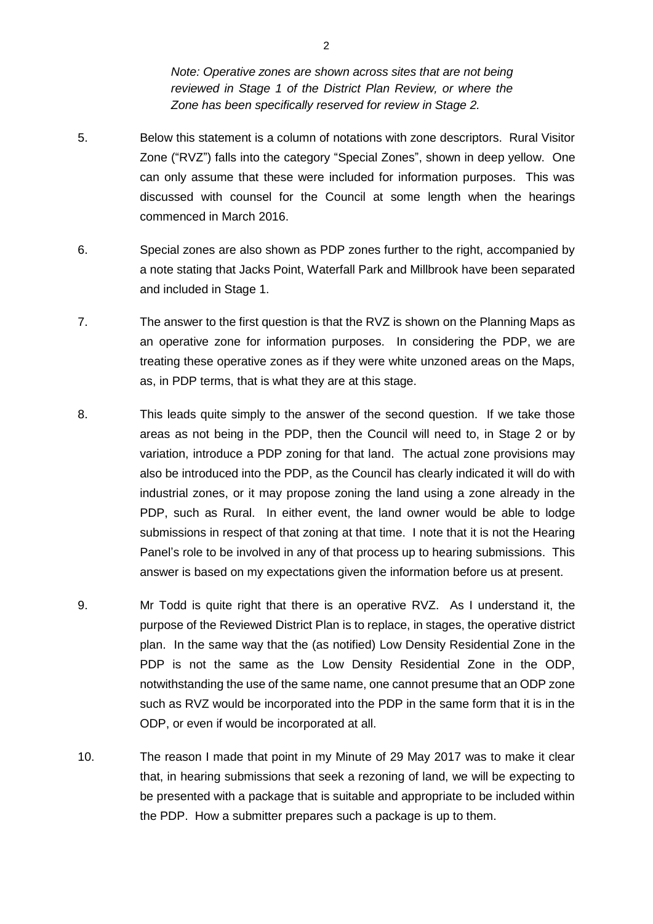*Note: Operative zones are shown across sites that are not being reviewed in Stage 1 of the District Plan Review, or where the Zone has been specifically reserved for review in Stage 2.*

- 5. Below this statement is a column of notations with zone descriptors. Rural Visitor Zone ("RVZ") falls into the category "Special Zones", shown in deep yellow. One can only assume that these were included for information purposes. This was discussed with counsel for the Council at some length when the hearings commenced in March 2016.
- 6. Special zones are also shown as PDP zones further to the right, accompanied by a note stating that Jacks Point, Waterfall Park and Millbrook have been separated and included in Stage 1.
- 7. The answer to the first question is that the RVZ is shown on the Planning Maps as an operative zone for information purposes. In considering the PDP, we are treating these operative zones as if they were white unzoned areas on the Maps, as, in PDP terms, that is what they are at this stage.
- 8. This leads quite simply to the answer of the second question. If we take those areas as not being in the PDP, then the Council will need to, in Stage 2 or by variation, introduce a PDP zoning for that land. The actual zone provisions may also be introduced into the PDP, as the Council has clearly indicated it will do with industrial zones, or it may propose zoning the land using a zone already in the PDP, such as Rural. In either event, the land owner would be able to lodge submissions in respect of that zoning at that time. I note that it is not the Hearing Panel's role to be involved in any of that process up to hearing submissions. This answer is based on my expectations given the information before us at present.
- 9. Mr Todd is quite right that there is an operative RVZ. As I understand it, the purpose of the Reviewed District Plan is to replace, in stages, the operative district plan. In the same way that the (as notified) Low Density Residential Zone in the PDP is not the same as the Low Density Residential Zone in the ODP, notwithstanding the use of the same name, one cannot presume that an ODP zone such as RVZ would be incorporated into the PDP in the same form that it is in the ODP, or even if would be incorporated at all.
- 10. The reason I made that point in my Minute of 29 May 2017 was to make it clear that, in hearing submissions that seek a rezoning of land, we will be expecting to be presented with a package that is suitable and appropriate to be included within the PDP. How a submitter prepares such a package is up to them.